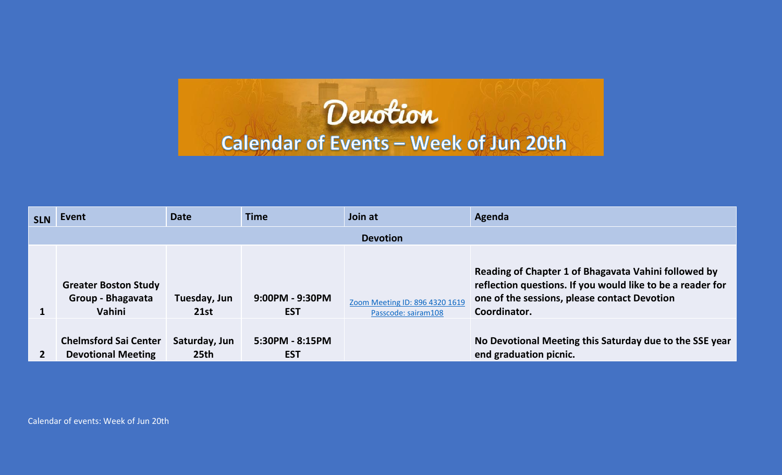## Devotion Calendar of Events - Week of Jun 20th

| <b>SLN</b> | Event                                                      | <b>Date</b>           | <b>Time</b>                   | Join at                                               | Agenda                                                                                                                                                                             |  |  |
|------------|------------------------------------------------------------|-----------------------|-------------------------------|-------------------------------------------------------|------------------------------------------------------------------------------------------------------------------------------------------------------------------------------------|--|--|
|            | <b>Devotion</b>                                            |                       |                               |                                                       |                                                                                                                                                                                    |  |  |
|            | <b>Greater Boston Study</b><br>Group - Bhagavata<br>Vahini | Tuesday, Jun<br>21st  | 9:00PM - 9:30PM<br><b>EST</b> | Zoom Meeting ID: 896 4320 1619<br>Passcode: sairam108 | Reading of Chapter 1 of Bhagavata Vahini followed by<br>reflection questions. If you would like to be a reader for<br>one of the sessions, please contact Devotion<br>Coordinator. |  |  |
|            | <b>Chelmsford Sai Center</b><br><b>Devotional Meeting</b>  | Saturday, Jun<br>25th | 5:30PM - 8:15PM<br><b>EST</b> |                                                       | No Devotional Meeting this Saturday due to the SSE year<br>end graduation picnic.                                                                                                  |  |  |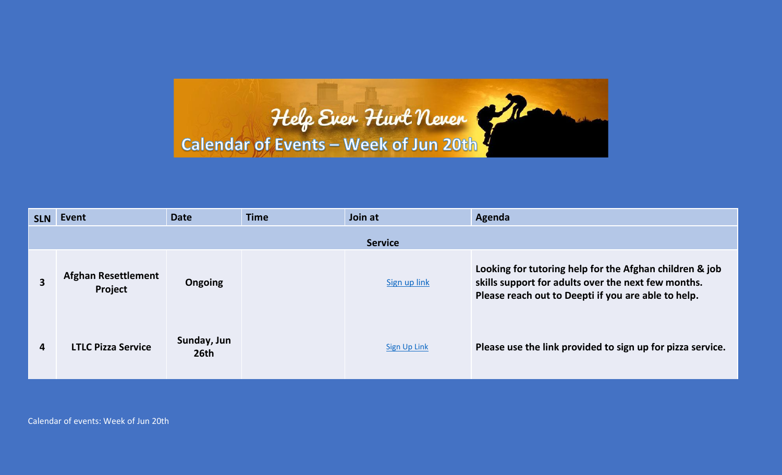## Help Ever Hurt Never

| <b>SLN</b>              | Event                                 | <b>Date</b>         | <b>Time</b> | Join at             | Agenda                                                                                                                                                                |
|-------------------------|---------------------------------------|---------------------|-------------|---------------------|-----------------------------------------------------------------------------------------------------------------------------------------------------------------------|
|                         |                                       |                     |             | <b>Service</b>      |                                                                                                                                                                       |
| $\overline{\mathbf{3}}$ | <b>Afghan Resettlement</b><br>Project | <b>Ongoing</b>      |             | Sign up link        | Looking for tutoring help for the Afghan children & job<br>skills support for adults over the next few months.<br>Please reach out to Deepti if you are able to help. |
| 4                       | <b>LTLC Pizza Service</b>             | Sunday, Jun<br>26th |             | <b>Sign Up Link</b> | Please use the link provided to sign up for pizza service.                                                                                                            |

Calendar of events: Week of Jun 20th